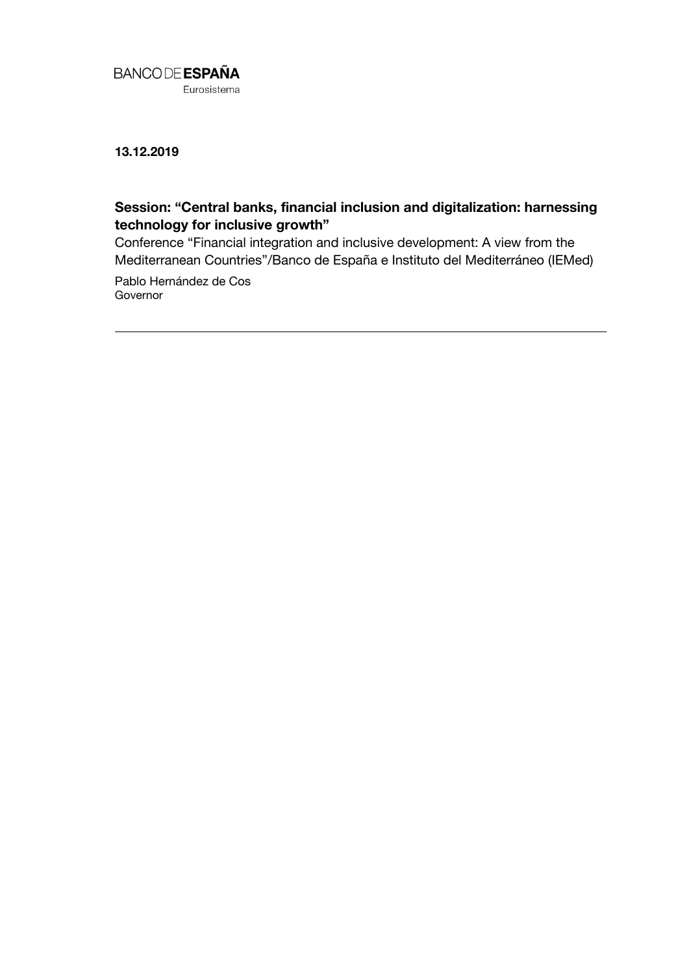

**13.12.2019**

## **Session: "Central banks, financial inclusion and digitalization: harnessing technology for inclusive growth"**

Conference "Financial integration and inclusive development: A view from the Mediterranean Countries"/Banco de España e Instituto del Mediterráneo (IEMed)

Pablo Hernández de Cos **Governor**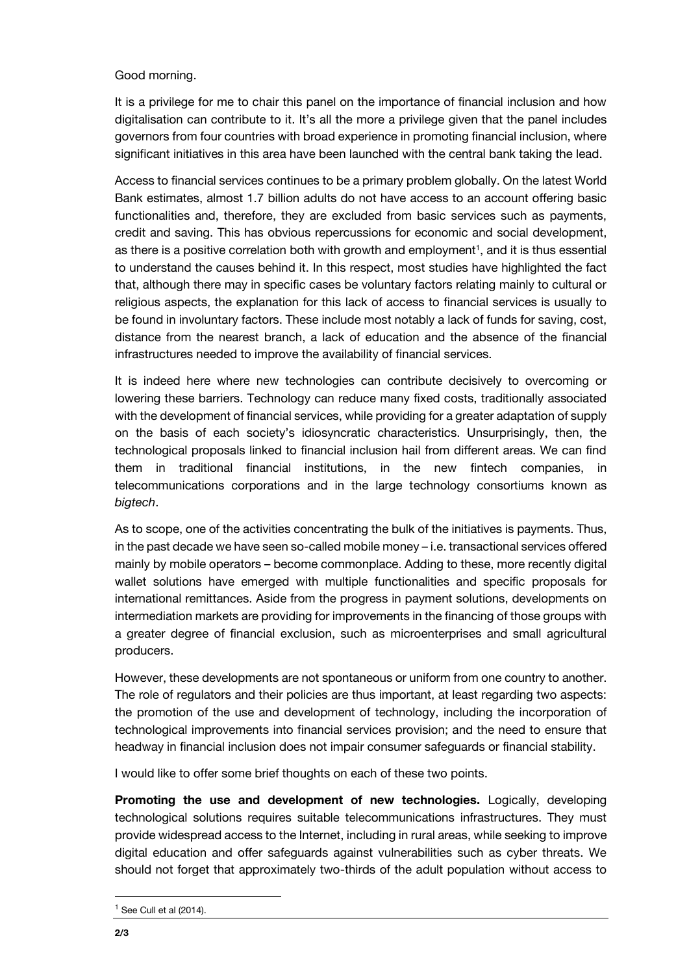## Good morning.

It is a privilege for me to chair this panel on the importance of financial inclusion and how digitalisation can contribute to it. It's all the more a privilege given that the panel includes governors from four countries with broad experience in promoting financial inclusion, where significant initiatives in this area have been launched with the central bank taking the lead.

Access to financial services continues to be a primary problem globally. On the latest World Bank estimates, almost 1.7 billion adults do not have access to an account offering basic functionalities and, therefore, they are excluded from basic services such as payments, credit and saving. This has obvious repercussions for economic and social development, as there is a positive correlation both with growth and employment<sup>1</sup>, and it is thus essential to understand the causes behind it. In this respect, most studies have highlighted the fact that, although there may in specific cases be voluntary factors relating mainly to cultural or religious aspects, the explanation for this lack of access to financial services is usually to be found in involuntary factors. These include most notably a lack of funds for saving, cost, distance from the nearest branch, a lack of education and the absence of the financial infrastructures needed to improve the availability of financial services.

It is indeed here where new technologies can contribute decisively to overcoming or lowering these barriers. Technology can reduce many fixed costs, traditionally associated with the development of financial services, while providing for a greater adaptation of supply on the basis of each society's idiosyncratic characteristics. Unsurprisingly, then, the technological proposals linked to financial inclusion hail from different areas. We can find them in traditional financial institutions, in the new fintech companies, in telecommunications corporations and in the large technology consortiums known as *bigtech*.

As to scope, one of the activities concentrating the bulk of the initiatives is payments. Thus, in the past decade we have seen so-called mobile money – i.e. transactional services offered mainly by mobile operators – become commonplace. Adding to these, more recently digital wallet solutions have emerged with multiple functionalities and specific proposals for international remittances. Aside from the progress in payment solutions, developments on intermediation markets are providing for improvements in the financing of those groups with a greater degree of financial exclusion, such as microenterprises and small agricultural producers.

However, these developments are not spontaneous or uniform from one country to another. The role of regulators and their policies are thus important, at least regarding two aspects: the promotion of the use and development of technology, including the incorporation of technological improvements into financial services provision; and the need to ensure that headway in financial inclusion does not impair consumer safeguards or financial stability.

I would like to offer some brief thoughts on each of these two points.

**Promoting the use and development of new technologies.** Logically, developing technological solutions requires suitable telecommunications infrastructures. They must provide widespread access to the Internet, including in rural areas, while seeking to improve digital education and offer safeguards against vulnerabilities such as cyber threats. We should not forget that approximately two-thirds of the adult population without access to

l

 $<sup>1</sup>$  See Cull et al (2014).</sup>